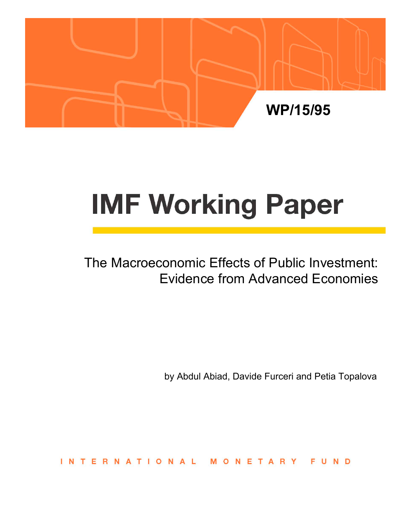

# **IMF Working Paper**

# The Macroeconomic Effects of Public Investment: Evidence from Advanced Economies

by Abdul Abiad, Davide Furceri and Petia Topalova

INTERNATIONAL NETARY **FUND**  $\Omega$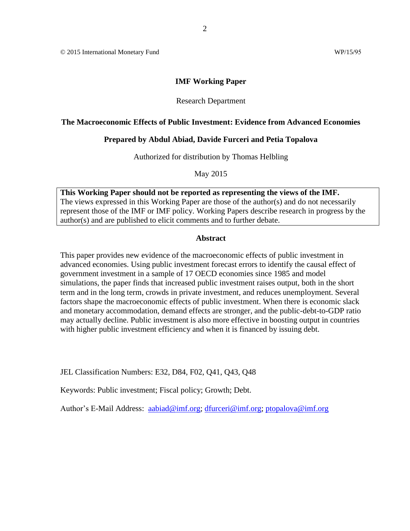© 2015 International Monetary Fund WP/15/95

# **IMF Working Paper**

# Research Department

# **The Macroeconomic Effects of Public Investment: Evidence from Advanced Economies**

# **Prepared by Abdul Abiad, Davide Furceri and Petia Topalova**

Authorized for distribution by Thomas Helbling

May 2015

**This Working Paper should not be reported as representing the views of the IMF.** The views expressed in this Working Paper are those of the author(s) and do not necessarily represent those of the IMF or IMF policy. Working Papers describe research in progress by the author(s) and are published to elicit comments and to further debate.

# **Abstract**

This paper provides new evidence of the macroeconomic effects of public investment in advanced economies. Using public investment forecast errors to identify the causal effect of government investment in a sample of 17 OECD economies since 1985 and model simulations, the paper finds that increased public investment raises output, both in the short term and in the long term, crowds in private investment, and reduces unemployment. Several factors shape the macroeconomic effects of public investment. When there is economic slack and monetary accommodation, demand effects are stronger, and the public-debt-to-GDP ratio may actually decline. Public investment is also more effective in boosting output in countries with higher public investment efficiency and when it is financed by issuing debt.

JEL Classification Numbers: E32, D84, F02, Q41, Q43, Q48

Keywords: Public investment; Fiscal policy; Growth; Debt.

Author's E-Mail Address: [aabiad@imf.org;](mailto:aabiad@imf.org) [dfurceri@imf.org;](mailto:dfurceri@imf.org) [ptopalova@imf.org](mailto:ptopalova@imf.org)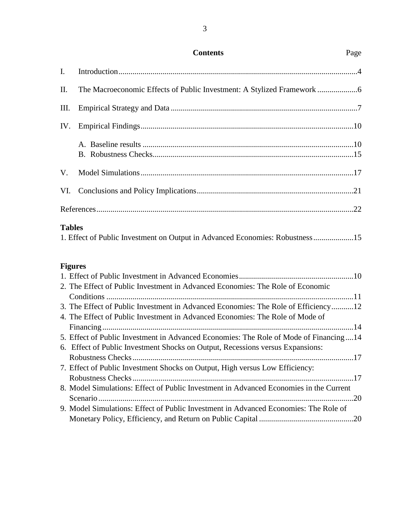| <b>Contents</b> |
|-----------------|
|-----------------|

3

| II.           |                                                                              |  |
|---------------|------------------------------------------------------------------------------|--|
| Ш.            |                                                                              |  |
|               |                                                                              |  |
|               |                                                                              |  |
|               |                                                                              |  |
|               |                                                                              |  |
|               |                                                                              |  |
| <b>Tables</b> | 1. Effect of Public Investment on Output in Advanced Economies: Robustness15 |  |

# **Figures**

| 2. The Effect of Public Investment in Advanced Economies: The Role of Economic         |  |
|----------------------------------------------------------------------------------------|--|
|                                                                                        |  |
| 3. The Effect of Public Investment in Advanced Economies: The Role of Efficiency12     |  |
| 4. The Effect of Public Investment in Advanced Economies: The Role of Mode of          |  |
|                                                                                        |  |
| 5. Effect of Public Investment in Advanced Economies: The Role of Mode of Financing14  |  |
| 6. Effect of Public Investment Shocks on Output, Recessions versus Expansions:         |  |
|                                                                                        |  |
| 7. Effect of Public Investment Shocks on Output, High versus Low Efficiency:           |  |
|                                                                                        |  |
| 8. Model Simulations: Effect of Public Investment in Advanced Economies in the Current |  |
|                                                                                        |  |
| 9. Model Simulations: Effect of Public Investment in Advanced Economies: The Role of   |  |
|                                                                                        |  |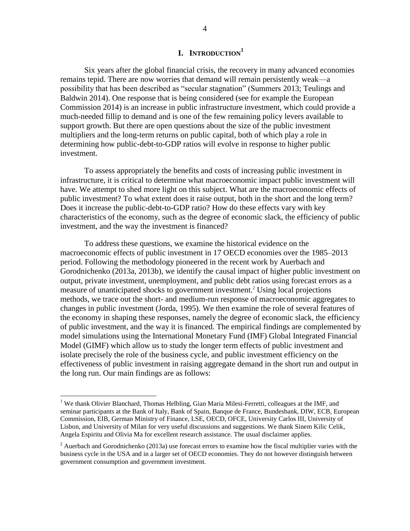# **I. INTRODUCTION<sup>1</sup>**

Six years after the global financial crisis, the recovery in many advanced economies remains tepid. There are now worries that demand will remain persistently weak—a possibility that has been described as "secular stagnation" (Summers 2013; Teulings and Baldwin 2014). One response that is being considered (see for example the European Commission 2014) is an increase in public infrastructure investment, which could provide a much-needed fillip to demand and is one of the few remaining policy levers available to support growth. But there are open questions about the size of the public investment multipliers and the long-term returns on public capital, both of which play a role in determining how public-debt-to-GDP ratios will evolve in response to higher public investment.

To assess appropriately the benefits and costs of increasing public investment in infrastructure, it is critical to determine what macroeconomic impact public investment will have. We attempt to shed more light on this subject. What are the macroeconomic effects of public investment? To what extent does it raise output, both in the short and the long term? Does it increase the public-debt-to-GDP ratio? How do these effects vary with key characteristics of the economy, such as the degree of economic slack, the efficiency of public investment, and the way the investment is financed?

To address these questions, we examine the historical evidence on the macroeconomic effects of public investment in 17 OECD economies over the 1985–2013 period. Following the methodology pioneered in the recent work by Auerbach and Gorodnichenko (2013a, 2013b), we identify the causal impact of higher public investment on output, private investment, unemployment, and public debt ratios using forecast errors as a measure of unanticipated shocks to government investment.<sup>2</sup> Using local projections methods, we trace out the short- and medium-run response of macroeconomic aggregates to changes in public investment (Jorda, 1995). We then examine the role of several features of the economy in shaping these responses, namely the degree of economic slack, the efficiency of public investment, and the way it is financed. The empirical findings are complemented by model simulations using the International Monetary Fund (IMF) Global Integrated Financial Model (GIMF) which allow us to study the longer term effects of public investment and isolate precisely the role of the business cycle, and public investment efficiency on the effectiveness of public investment in raising aggregate demand in the short run and output in the long run. Our main findings are as follows:

<sup>&</sup>lt;sup>1</sup> We thank Olivier Blanchard, Thomas Helbling, Gian Maria Milesi-Ferretti, colleagues at the IMF, and seminar participants at the Bank of Italy, Bank of Spain, Banque de France, Bundesbank, DIW, ECB, European Commission, EIB, German Ministry of Finance, LSE, OECD, OFCE, University Carlos III, University of Lisbon, and University of Milan for very useful discussions and suggestions. We thank Sinem Kilic Celik, Angela Espiritu and Olivia Ma for excellent research assistance. The usual disclaimer applies.

<sup>&</sup>lt;sup>2</sup> Auerbach and Gorodnichenko (2013a) use forecast errors to examine how the fiscal multiplier varies with the business cycle in the USA and in a larger set of OECD economies. They do not however distinguish between government consumption and government investment.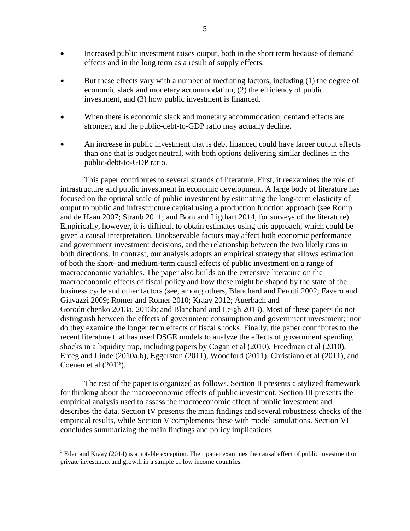- Increased public investment raises output, both in the short term because of demand effects and in the long term as a result of supply effects.
- But these effects vary with a number of mediating factors, including (1) the degree of economic slack and monetary accommodation, (2) the efficiency of public investment, and (3) how public investment is financed.
- When there is economic slack and monetary accommodation, demand effects are stronger, and the public-debt-to-GDP ratio may actually decline.
- An increase in public investment that is debt financed could have larger output effects than one that is budget neutral, with both options delivering similar declines in the public-debt-to-GDP ratio.

This paper contributes to several strands of literature. First, it reexamines the role of infrastructure and public investment in economic development. A large body of literature has focused on the optimal scale of public investment by estimating the long-term elasticity of output to public and infrastructure capital using a production function approach (see Romp and de Haan 2007; Straub 2011; and Bom and Ligthart 2014, for surveys of the literature). Empirically, however, it is difficult to obtain estimates using this approach, which could be given a causal interpretation. Unobservable factors may affect both economic performance and government investment decisions, and the relationship between the two likely runs in both directions. In contrast, our analysis adopts an empirical strategy that allows estimation of both the short- and medium-term causal effects of public investment on a range of macroeconomic variables. The paper also builds on the extensive literature on the macroeconomic effects of fiscal policy and how these might be shaped by the state of the business cycle and other factors (see, among others, Blanchard and Perotti 2002; Favero and Giavazzi 2009; Romer and Romer 2010; Kraay 2012; Auerbach and Gorodnichenko 2013a, 2013b; and Blanchard and Leigh 2013). Most of these papers do not distinguish between the effects of government consumption and government investment;<sup>3</sup> nor do they examine the longer term effects of fiscal shocks. Finally, the paper contributes to the recent literature that has used DSGE models to analyze the effects of government spending shocks in a liquidity trap, including papers by Cogan et al (2010), Freedman et al (2010), Erceg and Linde (2010a,b), Eggerston (2011), Woodford (2011), Christiano et al (2011), and Coenen et al (2012).

The rest of the paper is organized as follows. Section II presents a stylized framework for thinking about the macroeconomic effects of public investment. Section III presents the empirical analysis used to assess the macroeconomic effect of public investment and describes the data. Section IV presents the main findings and several robustness checks of the empirical results, while Section V complements these with model simulations. Section VI concludes summarizing the main findings and policy implications.

 $3$  Eden and Kraay (2014) is a notable exception. Their paper examines the causal effect of public investment on private investment and growth in a sample of low income countries.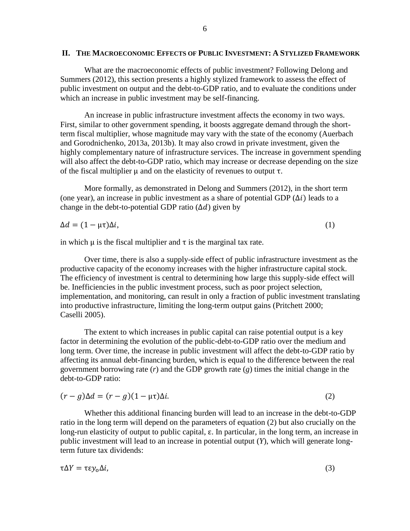# **II. THE MACROECONOMIC EFFECTS OF PUBLIC INVESTMENT: A STYLIZED FRAMEWORK**

What are the macroeconomic effects of public investment? Following Delong and Summers (2012), this section presents a highly stylized framework to assess the effect of public investment on output and the debt-to-GDP ratio, and to evaluate the conditions under which an increase in public investment may be self-financing.

An increase in public infrastructure investment affects the economy in two ways. First, similar to other government spending, it boosts aggregate demand through the shortterm fiscal multiplier, whose magnitude may vary with the state of the economy (Auerbach and Gorodnichenko, 2013a, 2013b). It may also crowd in private investment, given the highly complementary nature of infrastructure services. The increase in government spending will also affect the debt-to-GDP ratio, which may increase or decrease depending on the size of the fiscal multiplier  $\mu$  and on the elasticity of revenues to output  $\tau$ .

More formally, as demonstrated in Delong and Summers (2012), in the short term (one year), an increase in public investment as a share of potential GDP  $(\Delta i)$  leads to a change in the debt-to-potential GDP ratio  $(\Delta d)$  given by

$$
\Delta d = (1 - \mu \tau) \Delta i, \tag{1}
$$

in which  $\mu$  is the fiscal multiplier and  $\tau$  is the marginal tax rate.

Over time, there is also a supply-side effect of public infrastructure investment as the productive capacity of the economy increases with the higher infrastructure capital stock. The efficiency of investment is central to determining how large this supply-side effect will be. Inefficiencies in the public investment process, such as poor project selection, implementation, and monitoring, can result in only a fraction of public investment translating into productive infrastructure, limiting the long-term output gains (Pritchett 2000; Caselli 2005).

The extent to which increases in public capital can raise potential output is a key factor in determining the evolution of the public-debt-to-GDP ratio over the medium and long term. Over time, the increase in public investment will affect the debt-to-GDP ratio by affecting its annual debt-financing burden, which is equal to the difference between the real government borrowing rate (*r*) and the GDP growth rate (*g*) times the initial change in the debt-to-GDP ratio:

$$
(r - g)\Delta d = (r - g)(1 - \mu\tau)\Delta i. \tag{2}
$$

Whether this additional financing burden will lead to an increase in the debt-to-GDP ratio in the long term will depend on the parameters of equation (2) but also crucially on the long-run elasticity of output to public capital,  $\varepsilon$ . In particular, in the long term, an increase in public investment will lead to an increase in potential output (*Y*), which will generate longterm future tax dividends:

$$
\tau \Delta Y = \tau \varepsilon y_0 \Delta i,\tag{3}
$$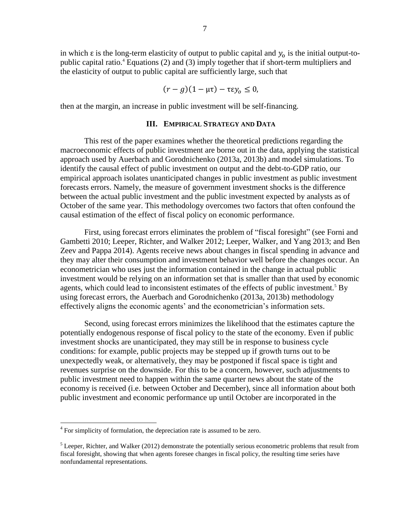in which  $\varepsilon$  is the long-term elasticity of output to public capital and  $y_0$  is the initial output-topublic capital ratio.<sup>4</sup> Equations (2) and (3) imply together that if short-term multipliers and the elasticity of output to public capital are sufficiently large, such that

$$
(r - g)(1 - \mu \tau) - \tau \varepsilon y_0 \leq 0,
$$

then at the margin, an increase in public investment will be self-financing.

# **III. EMPIRICAL STRATEGY AND DATA**

This rest of the paper examines whether the theoretical predictions regarding the macroeconomic effects of public investment are borne out in the data, applying the statistical approach used by Auerbach and Gorodnichenko (2013a, 2013b) and model simulations. To identify the causal effect of public investment on output and the debt-to-GDP ratio, our empirical approach isolates unanticipated changes in public investment as public investment forecasts errors. Namely, the measure of government investment shocks is the difference between the actual public investment and the public investment expected by analysts as of October of the same year. This methodology overcomes two factors that often confound the causal estimation of the effect of fiscal policy on economic performance.

First, using forecast errors eliminates the problem of "fiscal foresight" (see Forni and Gambetti 2010; Leeper, Richter, and Walker 2012; Leeper, Walker, and Yang 2013; and Ben Zeev and Pappa 2014). Agents receive news about changes in fiscal spending in advance and they may alter their consumption and investment behavior well before the changes occur. An econometrician who uses just the information contained in the change in actual public investment would be relying on an information set that is smaller than that used by economic agents, which could lead to inconsistent estimates of the effects of public investment.<sup>5</sup> By using forecast errors, the Auerbach and Gorodnichenko (2013a, 2013b) methodology effectively aligns the economic agents' and the econometrician's information sets.

Second, using forecast errors minimizes the likelihood that the estimates capture the potentially endogenous response of fiscal policy to the state of the economy. Even if public investment shocks are unanticipated, they may still be in response to business cycle conditions: for example, public projects may be stepped up if growth turns out to be unexpectedly weak, or alternatively, they may be postponed if fiscal space is tight and revenues surprise on the downside. For this to be a concern, however, such adjustments to public investment need to happen within the same quarter news about the state of the economy is received (i.e. between October and December), since all information about both public investment and economic performance up until October are incorporated in the

<sup>&</sup>lt;sup>4</sup> For simplicity of formulation, the depreciation rate is assumed to be zero.

 $<sup>5</sup>$  Leeper, Richter, and Walker (2012) demonstrate the potentially serious econometric problems that result from</sup> fiscal foresight, showing that when agents foresee changes in fiscal policy, the resulting time series have nonfundamental representations.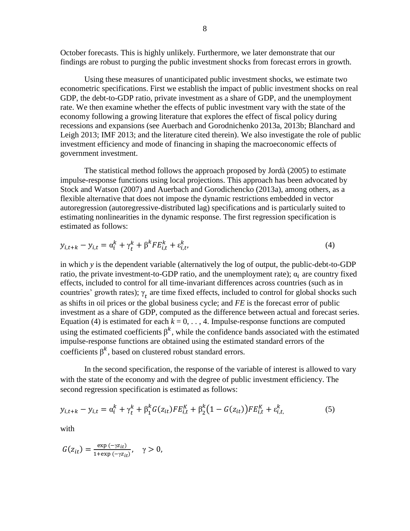October forecasts. This is highly unlikely. Furthermore, we later demonstrate that our findings are robust to purging the public investment shocks from forecast errors in growth.

Using these measures of unanticipated public investment shocks, we estimate two econometric specifications. First we establish the impact of public investment shocks on real GDP, the debt-to-GDP ratio, private investment as a share of GDP, and the unemployment rate. We then examine whether the effects of public investment vary with the state of the economy following a growing literature that explores the effect of fiscal policy during recessions and expansions (see Auerbach and Gorodnichenko 2013a, 2013b; Blanchard and Leigh 2013; IMF 2013; and the literature cited therein). We also investigate the role of public investment efficiency and mode of financing in shaping the macroeconomic effects of government investment.

The statistical method follows the approach proposed by Jordà (2005) to estimate impulse-response functions using local projections. This approach has been advocated by Stock and Watson (2007) and Auerbach and Gorodichencko (2013a), among others, as a flexible alternative that does not impose the dynamic restrictions embedded in vector autoregression (autoregressive-distributed lag) specifications and is particularly suited to estimating nonlinearities in the dynamic response. The first regression specification is estimated as follows:

$$
y_{i,t+k} - y_{i,t} = \alpha_i^k + \gamma_t^k + \beta^k F E_{i,t}^k + \varepsilon_{i,t}^k,
$$
\n<sup>(4)</sup>

in which *y* is the dependent variable (alternatively the log of output, the public-debt-to-GDP ratio, the private investment-to-GDP ratio, and the unemployment rate);  $\alpha_i$  are country fixed effects, included to control for all time-invariant differences across countries (such as in countries' growth rates);  $\gamma_t$  are time fixed effects, included to control for global shocks such as shifts in oil prices or the global business cycle; and *FE* is the forecast error of public investment as a share of GDP, computed as the difference between actual and forecast series. Equation (4) is estimated for each  $k = 0, \ldots, 4$ . Impulse-response functions are computed using the estimated coefficients  $\beta^k$ , while the confidence bands associated with the estimated impulse-response functions are obtained using the estimated standard errors of the coefficients  $\beta^k$ , based on clustered robust standard errors.

In the second specification, the response of the variable of interest is allowed to vary with the state of the economy and with the degree of public investment efficiency. The second regression specification is estimated as follows:

$$
y_{i,t+k} - y_{i,t} = \alpha_i^k + \gamma_t^k + \beta_1^k G(z_{it}) F E_{i,t}^K + \beta_2^k (1 - G(z_{it})) F E_{i,t}^K + \varepsilon_{i,t}^k, \tag{5}
$$

with

$$
G(z_{it}) = \frac{\exp(-\gamma z_{it})}{1 + \exp(-\gamma z_{it})}, \quad \gamma > 0,
$$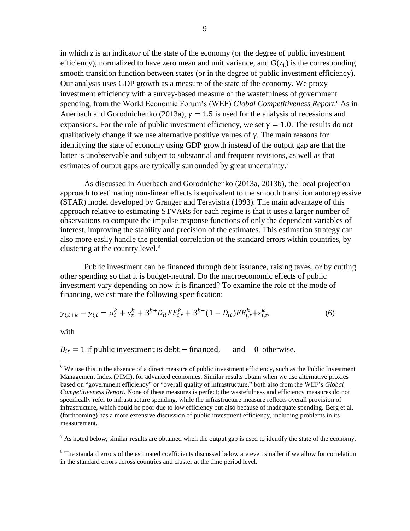in which *z* is an indicator of the state of the economy (or the degree of public investment efficiency), normalized to have zero mean and unit variance, and  $G(z_{it})$  is the corresponding smooth transition function between states (or in the degree of public investment efficiency). Our analysis uses GDP growth as a measure of the state of the economy. We proxy investment efficiency with a survey-based measure of the wastefulness of government spending, from the World Economic Forum's (WEF) *Global Competitiveness Report.* <sup>6</sup> As in Auerbach and Gorodnichenko (2013a),  $\gamma = 1.5$  is used for the analysis of recessions and expansions. For the role of public investment efficiency, we set  $\gamma = 1.0$ . The results do not qualitatively change if we use alternative positive values of  $\gamma$ . The main reasons for identifying the state of economy using GDP growth instead of the output gap are that the latter is unobservable and subject to substantial and frequent revisions, as well as that estimates of output gaps are typically surrounded by great uncertainty.<sup>7</sup>

As discussed in Auerbach and Gorodnichenko (2013a, 2013b), the local projection approach to estimating non-linear effects is equivalent to the smooth transition autoregressive (STAR) model developed by Granger and Teravistra (1993). The main advantage of this approach relative to estimating STVARs for each regime is that it uses a larger number of observations to compute the impulse response functions of only the dependent variables of interest, improving the stability and precision of the estimates. This estimation strategy can also more easily handle the potential correlation of the standard errors within countries, by clustering at the country level.<sup>8</sup>

Public investment can be financed through debt issuance, raising taxes, or by cutting other spending so that it is budget-neutral. Do the macroeconomic effects of public investment vary depending on how it is financed? To examine the role of the mode of financing, we estimate the following specification:

$$
y_{i,t+k} - y_{i,t} = \alpha_i^k + \gamma_t^k + \beta^{k+} D_{it} F E_{i,t}^k + \beta^{k-} (1 - D_{it}) F E_{i,t}^k + \varepsilon_{i,t}^k,
$$
(6)

with

 $\overline{a}$ 

 $D_{it} = 1$  if public investment is debt – financed, and 0 otherwise.

 $6$  We use this in the absence of a direct measure of public investment efficiency, such as the Public Investment Management Index (PIMI), for advanced economies. Similar results obtain when we use alternative proxies based on "government efficiency" or "overall quality of infrastructure," both also from the WEF's *Global Competitiveness Report.* None of these measures is perfect; the wastefulness and efficiency measures do not specifically refer to infrastructure spending, while the infrastructure measure reflects overall provision of infrastructure, which could be poor due to low efficiency but also because of inadequate spending. Berg et al. (forthcoming) has a more extensive discussion of public investment efficiency, including problems in its measurement.

 $<sup>7</sup>$  As noted below, similar results are obtained when the output gap is used to identify the state of the economy.</sup>

<sup>&</sup>lt;sup>8</sup> The standard errors of the estimated coefficients discussed below are even smaller if we allow for correlation in the standard errors across countries and cluster at the time period level.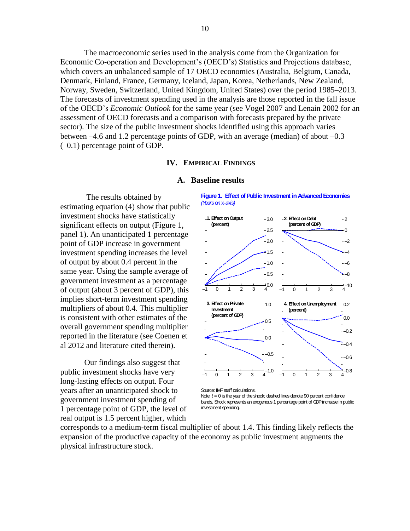The macroeconomic series used in the analysis come from the Organization for Economic Co-operation and Development's (OECD's) Statistics and Projections database, which covers an unbalanced sample of 17 OECD economies (Australia, Belgium, Canada, Denmark, Finland, France, Germany, Iceland, Japan, Korea, Netherlands, New Zealand, Norway, Sweden, Switzerland, United Kingdom, United States) over the period 1985–2013. The forecasts of investment spending used in the analysis are those reported in the fall issue of the OECD's *Economic Outlook* for the same year (see Vogel 2007 and Lenain 2002 for an assessment of OECD forecasts and a comparison with forecasts prepared by the private sector). The size of the public investment shocks identified using this approach varies between –4.6 and 1.2 percentage points of GDP, with an average (median) of about –0.3 (–0.1) percentage point of GDP.

# **IV. EMPIRICAL FINDINGS**

## **A. Baseline results**

The results obtained by estimating equation (4) show that public investment shocks have statistically significant effects on output (Figure 1, panel 1). An unanticipated 1 percentage point of GDP increase in government investment spending increases the level of output by about 0.4 percent in the same year. Using the sample average of government investment as a percentage of output (about 3 percent of GDP), this implies short-term investment spending multipliers of about 0.4. This multiplier is consistent with other estimates of the overall government spending multiplier reported in the literature (see Coenen et al 2012 and literature cited therein).

Our findings also suggest that public investment shocks have very long-lasting effects on output. Four years after an unanticipated shock to government investment spending of 1 percentage point of GDP, the level of real output is 1.5 percent higher, which

**Figure 1. Effect of Public Investment in Advanced Economies** *(Years on* x*-axis)*



Source: IMF staff calculations.

Note:  $t = 0$  is the year of the shock; dashed lines denote 90 percent confidence bands. Shock represents an exogenous 1 percentage point of GDP increase in public investment spending.

corresponds to a medium-term fiscal multiplier of about 1.4. This finding likely reflects the expansion of the productive capacity of the economy as public investment augments the physical infrastructure stock.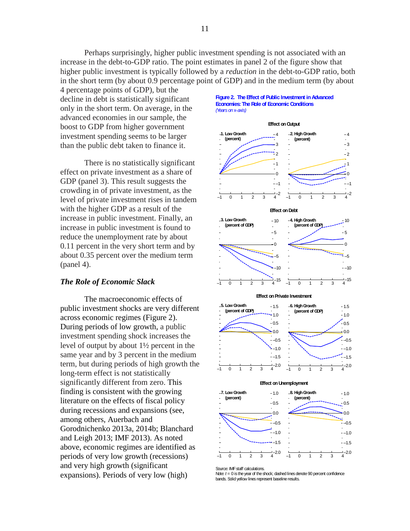Perhaps surprisingly, higher public investment spending is not associated with an increase in the debt-to-GDP ratio. The point estimates in panel 2 of the figure show that higher public investment is typically followed by a *reduction* in the debt-to-GDP ratio, both in the short term (by about 0.9 percentage point of GDP) and in the medium term (by about

4 percentage points of GDP), but the decline in debt is statistically significant only in the short term. On average, in the advanced economies in our sample, the boost to GDP from higher government investment spending seems to be larger than the public debt taken to finance it.

There is no statistically significant effect on private investment as a share of GDP (panel 3). This result suggests the crowding in of private investment, as the level of private investment rises in tandem with the higher GDP as a result of the increase in public investment. Finally, an increase in public investment is found to reduce the unemployment rate by about 0.11 percent in the very short term and by about 0.35 percent over the medium term (panel 4).

# *The Role of Economic Slack*

The macroeconomic effects of public investment shocks are very different across economic regimes (Figure 2). During periods of low growth, a public investment spending shock increases the level of output by about 1½ percent in the same year and by 3 percent in the medium term, but during periods of high growth the long-term effect is not statistically significantly different from zero. This finding is consistent with the growing literature on the effects of fiscal policy during recessions and expansions (see, among others, Auerbach and Gorodnichenko 2013a, 2014b; Blanchard and Leigh 2013; IMF 2013). As noted above, economic regimes are identified as periods of very low growth (recessions) and very high growth (significant expansions). Periods of very low (high)

#### **Figure 2. The Effect of Public Investment in Advanced Economies: The Role of Economic Conditions** *(Years on* x*-axis)*

#### **Effect on Output**





Note:  $t = 0$  is the year of the shock; dashed lines denote 90 percent confidence bands. Solid yellow lines represent baseline results.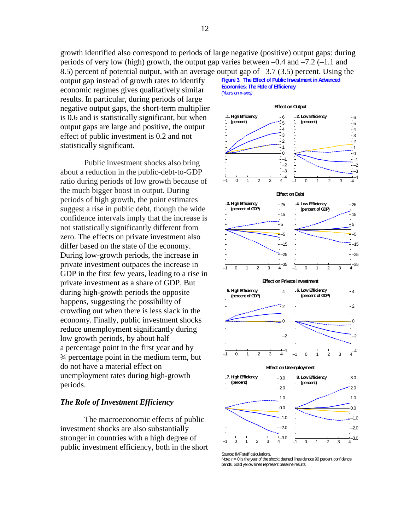growth identified also correspond to periods of large negative (positive) output gaps: during periods of very low (high) growth, the output gap varies between –0.4 and –7.2 (–1.1 and 8.5) percent of potential output, with an average output gap of –3.7 (3.5) percent. Using the

output gap instead of growth rates to identify economic regimes gives qualitatively similar results. In particular, during periods of large negative output gaps, the short-term multiplier is 0.6 and is statistically significant, but when output gaps are large and positive, the output effect of public investment is 0.2 and not statistically significant.

Public investment shocks also bring about a reduction in the public-debt-to-GDP ratio during periods of low growth because of the much bigger boost in output. During periods of high growth, the point estimates suggest a rise in public debt, though the wide confidence intervals imply that the increase is not statistically significantly different from zero. The effects on private investment also differ based on the state of the economy. During low-growth periods, the increase in private investment outpaces the increase in GDP in the first few years, leading to a rise in private investment as a share of GDP. But during high-growth periods the opposite happens, suggesting the possibility of crowding out when there is less slack in the economy. Finally, public investment shocks reduce unemployment significantly during low growth periods, by about half a percentage point in the first year and by ¾ percentage point in the medium term, but do not have a material effect on unemployment rates during high-growth periods.

# *The Role of Investment Efficiency*

The macroeconomic effects of public investment shocks are also substantially stronger in countries with a high degree of public investment efficiency, both in the short **Figure 3. The Effect of Public Investment in Advanced Economies: The Role of Efficiency** *(Years on* x*-axis)*

# **Effect on Output**





#### **Effect on Private Investment**



#### **Effect on Unemployment**



Source: IMF staff calculations.

Note: *t* = 0 is the year of the shock; dashed lines denote 90 percent confidence bands. Solid yellow lines represent baseline results.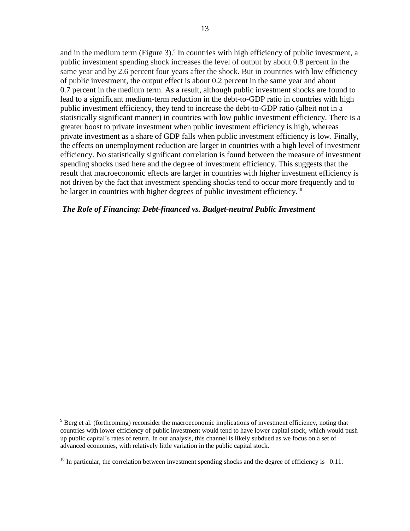and in the medium term (Figure 3).<sup>9</sup> In countries with high efficiency of public investment, a public investment spending shock increases the level of output by about 0.8 percent in the same year and by 2.6 percent four years after the shock. But in countries with low efficiency of public investment, the output effect is about 0.2 percent in the same year and about 0.7 percent in the medium term. As a result, although public investment shocks are found to lead to a significant medium-term reduction in the debt-to-GDP ratio in countries with high public investment efficiency, they tend to increase the debt-to-GDP ratio (albeit not in a statistically significant manner) in countries with low public investment efficiency. There is a greater boost to private investment when public investment efficiency is high, whereas private investment as a share of GDP falls when public investment efficiency is low. Finally, the effects on unemployment reduction are larger in countries with a high level of investment efficiency. No statistically significant correlation is found between the measure of investment spending shocks used here and the degree of investment efficiency. This suggests that the result that macroeconomic effects are larger in countries with higher investment efficiency is not driven by the fact that investment spending shocks tend to occur more frequently and to be larger in countries with higher degrees of public investment efficiency.<sup>10</sup>

# *The Role of Financing: Debt-financed vs. Budget-neutral Public Investment*

<sup>&</sup>lt;sup>9</sup> Berg et al. (forthcoming) reconsider the macroeconomic implications of investment efficiency, noting that countries with lower efficiency of public investment would tend to have lower capital stock, which would push up public capital's rates of return. In our analysis, this channel is likely subdued as we focus on a set of advanced economies, with relatively little variation in the public capital stock.

 $10$  In particular, the correlation between investment spending shocks and the degree of efficiency is  $-0.11$ .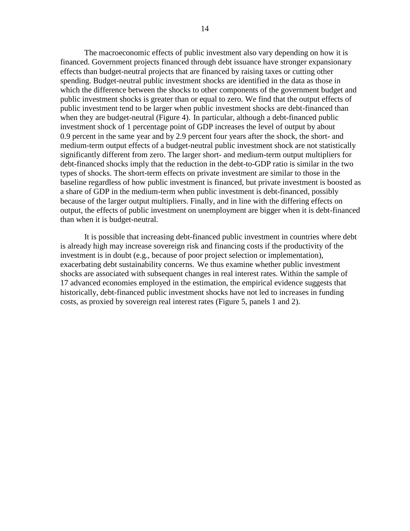The macroeconomic effects of public investment also vary depending on how it is financed. Government projects financed through debt issuance have stronger expansionary effects than budget-neutral projects that are financed by raising taxes or cutting other spending. Budget-neutral public investment shocks are identified in the data as those in which the difference between the shocks to other components of the government budget and public investment shocks is greater than or equal to zero. We find that the output effects of public investment tend to be larger when public investment shocks are debt-financed than when they are budget-neutral (Figure 4). In particular, although a debt-financed public investment shock of 1 percentage point of GDP increases the level of output by about 0.9 percent in the same year and by 2.9 percent four years after the shock, the short- and medium-term output effects of a budget-neutral public investment shock are not statistically significantly different from zero. The larger short- and medium-term output multipliers for debt-financed shocks imply that the reduction in the debt-to-GDP ratio is similar in the two types of shocks. The short-term effects on private investment are similar to those in the baseline regardless of how public investment is financed, but private investment is boosted as a share of GDP in the medium-term when public investment is debt-financed, possibly because of the larger output multipliers. Finally, and in line with the differing effects on output, the effects of public investment on unemployment are bigger when it is debt-financed than when it is budget-neutral.

It is possible that increasing debt-financed public investment in countries where debt is already high may increase sovereign risk and financing costs if the productivity of the investment is in doubt (e.g., because of poor project selection or implementation), exacerbating debt sustainability concerns. We thus examine whether public investment shocks are associated with subsequent changes in real interest rates. Within the sample of 17 advanced economies employed in the estimation, the empirical evidence suggests that historically, debt-financed public investment shocks have not led to increases in funding costs, as proxied by sovereign real interest rates (Figure 5, panels 1 and 2).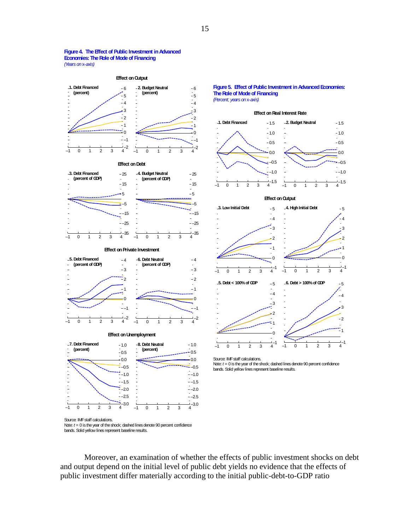#### **Figure 4. The Effect of Public Investment in Advanced Economies: The Role of Mode of Financing** *(Years on* x*-axis)*



**Effect on Debt**







 $\frac{1}{4}$ -2

–1 0 1 2 3 4



**Figure 5. Effect of Public Investment in Advanced Economies: The Role of Mode of Financing** *(Percent; years on* x*-axis)*



Source: IMF staff calculations. Note: *t* = 0 is the year of the shock; dashed lines denote 90 percent confidence bands. Solid yellow lines represent baseline results.

Source: IMF staff calculations. Note: *t* = 0 is the year of the shock; dashed lines denote 90 percent confidence bands. Solid yellow lines represent baseline results.

Moreover, an examination of whether the effects of public investment shocks on debt and output depend on the initial level of public debt yields no evidence that the effects of public investment differ materially according to the initial public-debt-to-GDP ratio

–2

–1 0 1 2 3 4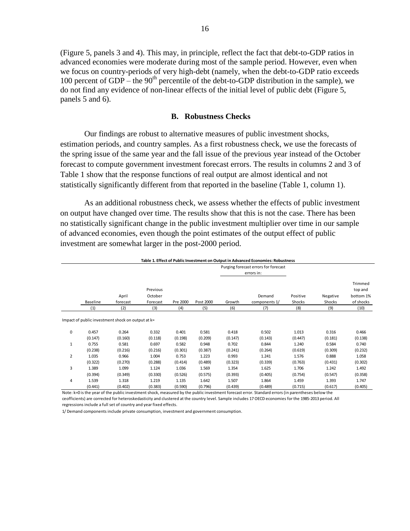(Figure 5, panels 3 and 4). This may, in principle, reflect the fact that debt-to-GDP ratios in advanced economies were moderate during most of the sample period. However, even when we focus on country-periods of very high-debt (namely, when the debt-to-GDP ratio exceeds 100 percent of GDP – the  $90<sup>th</sup>$  percentile of the debt-to-GDP distribution in the sample), we do not find any evidence of non-linear effects of the initial level of public debt (Figure 5, panels 5 and 6).

# **B. Robustness Checks**

Our findings are robust to alternative measures of public investment shocks, estimation periods, and country samples. As a first robustness check, we use the forecasts of the spring issue of the same year and the fall issue of the previous year instead of the October forecast to compute government investment forecast errors. The results in columns 2 and 3 of Table 1 show that the response functions of real output are almost identical and not statistically significantly different from that reported in the baseline (Table 1, column 1).

As an additional robustness check, we assess whether the effects of public investment on output have changed over time. The results show that this is not the case. There has been no statistically significant change in the public investment multiplier over time in our sample of advanced economies, even though the point estimates of the output effect of public investment are somewhat larger in the post-2000 period.

| Table 1. Effect of Public Investment on Output in Advanced Economies: Robustness |                               |                                                   |         |                       |                                                    |                         |                    |                    |                                              |         |
|----------------------------------------------------------------------------------|-------------------------------|---------------------------------------------------|---------|-----------------------|----------------------------------------------------|-------------------------|--------------------|--------------------|----------------------------------------------|---------|
|                                                                                  | April<br>Baseline<br>forecast | Previous<br>October<br>Forecast                   |         | Pre 2000<br>Post 2000 | Purging forecast errors for forecast<br>errors in: |                         |                    |                    |                                              |         |
|                                                                                  |                               |                                                   |         |                       | Growth                                             | Demand<br>components 1/ | Positive<br>Shocks | Negative<br>Shocks | Trimmed<br>top and<br>bottom 1%<br>of shocks |         |
|                                                                                  | (1)                           | (2)                                               | (3)     | (4)                   | (5)                                                | (6)                     | (7)                | (8)                | (9)                                          | (10)    |
|                                                                                  |                               | Impact of public investment shock on output at k= |         |                       |                                                    |                         |                    |                    |                                              |         |
| 0                                                                                | 0.457                         | 0.264                                             | 0.332   | 0.401                 | 0.581                                              | 0.418                   | 0.502              | 1.013              | 0.316                                        | 0.466   |
|                                                                                  | (0.147)                       | (0.160)                                           | (0.118) | (0.198)               | (0.209)                                            | (0.147)                 | (0.143)            | (0.447)            | (0.181)                                      | (0.138) |
| 1                                                                                | 0.755                         | 0.581                                             | 0.697   | 0.582                 | 0.948                                              | 0.702                   | 0.844              | 1.240              | 0.584                                        | 0.740   |
|                                                                                  | (0.238)                       | (0.216)                                           | (0.216) | (0.301)               | (0.387)                                            | (0.241)                 | (0.264)            | (0.619)            | (0.309)                                      | (0.232) |
| 2                                                                                | 1.035                         | 0.966                                             | 1.004   | 0.753                 | 1.223                                              | 0.993                   | 1.241              | 1.576              | 0.888                                        | 1.058   |
|                                                                                  | (0.322)                       | (0.270)                                           | (0.288) | (0.414)               | (0.489)                                            | (0.323)                 | (0.339)            | (0.763)            | (0.431)                                      | (0.302) |
| 3                                                                                | 1.389                         | 1.099                                             | 1.124   | 1.036                 | 1.569                                              | 1.354                   | 1.625              | 1.706              | 1.242                                        | 1.492   |
|                                                                                  | (0.394)                       | (0.349)                                           | (0.330) | (0.526)               | (0.575)                                            | (0.393)                 | (0.405)            | (0.754)            | (0.547)                                      | (0.358) |
| 4                                                                                | 1.539                         | 1.318                                             | 1.219   | 1.135                 | 1.642                                              | 1.507                   | 1.864              | 1.459              | 1.393                                        | 1.747   |
|                                                                                  | (0.441)                       | (0.402)                                           | (0.383) | (0.590)               | (0.796)                                            | (0.439)                 | (0.489)            | (0.715)            | (0.617)                                      | (0.405) |

Note: k=0 is the year of the public investment shock, measured by the public investment forecast error. Standard errors (in parentheses below the ceofficients) are corrected for heteroskedasticity and clustered at the country level. Sample includes 17 OECD economies for the 1985-2013 period. All

regressions include a full set of country and year fixed effects.

1/ Demand components include private consumption, investment and government consumption.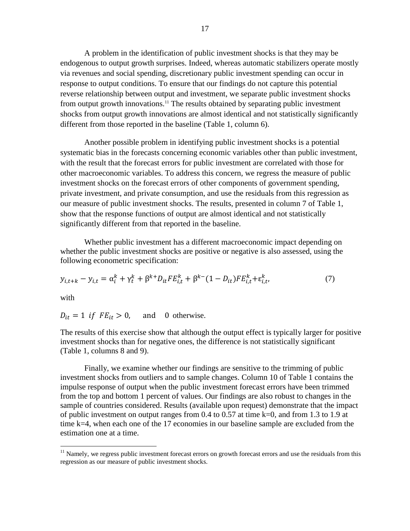A problem in the identification of public investment shocks is that they may be endogenous to output growth surprises. Indeed, whereas automatic stabilizers operate mostly via revenues and social spending, discretionary public investment spending can occur in response to output conditions. To ensure that our findings do not capture this potential reverse relationship between output and investment, we separate public investment shocks from output growth innovations.<sup>11</sup> The results obtained by separating public investment shocks from output growth innovations are almost identical and not statistically significantly different from those reported in the baseline (Table 1, column 6).

Another possible problem in identifying public investment shocks is a potential systematic bias in the forecasts concerning economic variables other than public investment, with the result that the forecast errors for public investment are correlated with those for other macroeconomic variables. To address this concern, we regress the measure of public investment shocks on the forecast errors of other components of government spending, private investment, and private consumption, and use the residuals from this regression as our measure of public investment shocks. The results, presented in column 7 of Table 1, show that the response functions of output are almost identical and not statistically significantly different from that reported in the baseline.

Whether public investment has a different macroeconomic impact depending on whether the public investment shocks are positive or negative is also assessed, using the following econometric specification:

$$
y_{i,t+k} - y_{i,t} = \alpha_i^k + \gamma_t^k + \beta^{k+} D_{it} F E_{i,t}^k + \beta^{k-} (1 - D_{it}) F E_{i,t}^k + \varepsilon_{i,t}^k, \tag{7}
$$

with

 $\overline{a}$ 

 $D_{it} = 1$  if  $FE_{it} > 0$ , and 0 otherwise.

The results of this exercise show that although the output effect is typically larger for positive investment shocks than for negative ones, the difference is not statistically significant (Table 1, columns 8 and 9).

Finally, we examine whether our findings are sensitive to the trimming of public investment shocks from outliers and to sample changes. Column 10 of Table 1 contains the impulse response of output when the public investment forecast errors have been trimmed from the top and bottom 1 percent of values. Our findings are also robust to changes in the sample of countries considered. Results (available upon request) demonstrate that the impact of public investment on output ranges from 0.4 to 0.57 at time k=0, and from 1.3 to 1.9 at time k=4, when each one of the 17 economies in our baseline sample are excluded from the estimation one at a time.

 $11$  Namely, we regress public investment forecast errors on growth forecast errors and use the residuals from this regression as our measure of public investment shocks.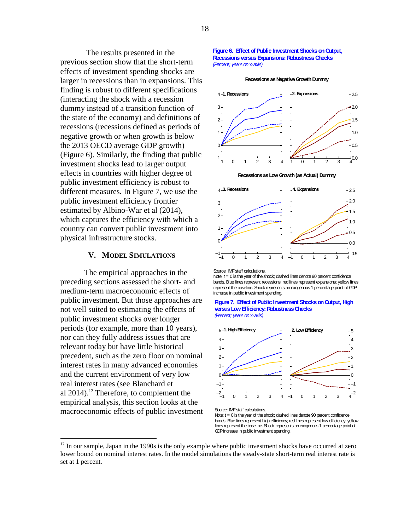The results presented in the previous section show that the short-term effects of investment spending shocks are larger in recessions than in expansions. This finding is robust to different specifications (interacting the shock with a recession dummy instead of a transition function of the state of the economy) and definitions of recessions (recessions defined as periods of negative growth or when growth is below the 2013 OECD average GDP growth) (Figure 6). Similarly, the finding that public investment shocks lead to larger output effects in countries with higher degree of public investment efficiency is robust to different measures. In Figure 7, we use the public investment efficiency frontier estimated by Albino-War et al (2014), which captures the efficiency with which a country can convert public investment into physical infrastructure stocks.

# **V. MODEL SIMULATIONS**

The empirical approaches in the preceding sections assessed the short- and medium-term macroeconomic effects of public investment. But those approaches are not well suited to estimating the effects of public investment shocks over longer periods (for example, more than 10 years), nor can they fully address issues that are relevant today but have little historical precedent, such as the zero floor on nominal interest rates in many advanced economies and the current environment of very low real interest rates (see Blanchard et al  $2014$ ).<sup>12</sup> Therefore, to complement the empirical analysis, this section looks at the macroeconomic effects of public investment

 $\overline{a}$ 

#### **Figure 6. Effect of Public Investment Shocks on Output, Recessions versus Expansions: Robustness Checks** *(Percent; years on* x*-axis)*

**Recessions as Negative Growth Dummy**







Source: IMF staff calculations.

Note: *t* = 0 is the year of the shock; dashed lines denote 90 percent confidence bands. Blue lines represent recessions; red lines represent expansions; yellow lines represent the baseline. Shock represents an exogenous 1 percentage point of GDP increase in public investment spending.





Source: IMF staff calculations.

Note:  $t = 0$  is the year of the shock; dashed lines denote 90 percent confidence bands. Blue lines represent high efficiency; red lines represent low efficiency; yellow lines represent the baseline. Shock represents an exogenous 1 percentage point of GDP increase in public investment spending.

 $12$  In our sample, Japan in the 1990s is the only example where public investment shocks have occurred at zero lower bound on nominal interest rates. In the model simulations the steady-state short-term real interest rate is set at 1 percent.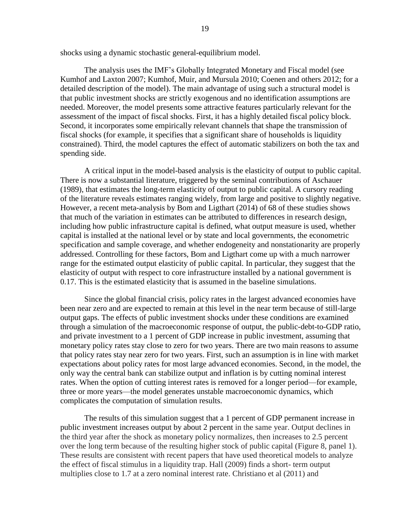shocks using a dynamic stochastic general-equilibrium model.

The analysis uses the IMF's Globally Integrated Monetary and Fiscal model (see Kumhof and Laxton 2007; Kumhof, Muir, and Mursula 2010; Coenen and others 2012; for a detailed description of the model). The main advantage of using such a structural model is that public investment shocks are strictly exogenous and no identification assumptions are needed. Moreover, the model presents some attractive features particularly relevant for the assessment of the impact of fiscal shocks. First, it has a highly detailed fiscal policy block. Second, it incorporates some empirically relevant channels that shape the transmission of fiscal shocks (for example, it specifies that a significant share of households is liquidity constrained). Third, the model captures the effect of automatic stabilizers on both the tax and spending side.

A critical input in the model-based analysis is the elasticity of output to public capital. There is now a substantial literature, triggered by the seminal contributions of Aschauer (1989), that estimates the long-term elasticity of output to public capital. A cursory reading of the literature reveals estimates ranging widely, from large and positive to slightly negative. However, a recent meta-analysis by Bom and Ligthart (2014) of 68 of these studies shows that much of the variation in estimates can be attributed to differences in research design, including how public infrastructure capital is defined, what output measure is used, whether capital is installed at the national level or by state and local governments, the econometric specification and sample coverage, and whether endogeneity and nonstationarity are properly addressed. Controlling for these factors, Bom and Ligthart come up with a much narrower range for the estimated output elasticity of public capital. In particular, they suggest that the elasticity of output with respect to core infrastructure installed by a national government is 0.17. This is the estimated elasticity that is assumed in the baseline simulations.

Since the global financial crisis, policy rates in the largest advanced economies have been near zero and are expected to remain at this level in the near term because of still-large output gaps. The effects of public investment shocks under these conditions are examined through a simulation of the macroeconomic response of output, the public-debt-to-GDP ratio, and private investment to a 1 percent of GDP increase in public investment, assuming that monetary policy rates stay close to zero for two years. There are two main reasons to assume that policy rates stay near zero for two years. First, such an assumption is in line with market expectations about policy rates for most large advanced economies. Second, in the model, the only way the central bank can stabilize output and inflation is by cutting nominal interest rates. When the option of cutting interest rates is removed for a longer period—for example, three or more years—the model generates unstable macroeconomic dynamics, which complicates the computation of simulation results.

The results of this simulation suggest that a 1 percent of GDP permanent increase in public investment increases output by about 2 percent in the same year. Output declines in the third year after the shock as monetary policy normalizes, then increases to 2.5 percent over the long term because of the resulting higher stock of public capital (Figure 8, panel 1). These results are consistent with recent papers that have used theoretical models to analyze the effect of fiscal stimulus in a liquidity trap. Hall (2009) finds a short- term output multiplies close to 1.7 at a zero nominal interest rate. Christiano et al (2011) and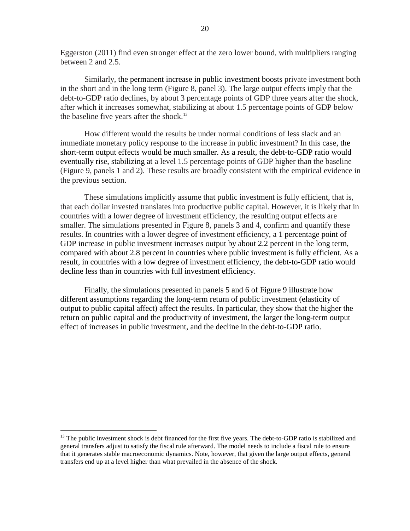Eggerston (2011) find even stronger effect at the zero lower bound, with multipliers ranging between 2 and 2.5.

Similarly, the permanent increase in public investment boosts private investment both in the short and in the long term (Figure 8, panel 3). The large output effects imply that the debt-to-GDP ratio declines, by about 3 percentage points of GDP three years after the shock, after which it increases somewhat, stabilizing at about 1.5 percentage points of GDP below the baseline five years after the shock.<sup>13</sup>

How different would the results be under normal conditions of less slack and an immediate monetary policy response to the increase in public investment? In this case, the short-term output effects would be much smaller. As a result, the debt-to-GDP ratio would eventually rise, stabilizing at a level 1.5 percentage points of GDP higher than the baseline (Figure 9, panels 1 and 2). These results are broadly consistent with the empirical evidence in the previous section.

These simulations implicitly assume that public investment is fully efficient, that is, that each dollar invested translates into productive public capital. However, it is likely that in countries with a lower degree of investment efficiency, the resulting output effects are smaller. The simulations presented in Figure 8, panels 3 and 4, confirm and quantify these results. In countries with a lower degree of investment efficiency, a 1 percentage point of GDP increase in public investment increases output by about 2.2 percent in the long term, compared with about 2.8 percent in countries where public investment is fully efficient. As a result, in countries with a low degree of investment efficiency, the debt-to-GDP ratio would decline less than in countries with full investment efficiency.

Finally, the simulations presented in panels 5 and 6 of Figure 9 illustrate how different assumptions regarding the long-term return of public investment (elasticity of output to public capital affect) affect the results. In particular, they show that the higher the return on public capital and the productivity of investment, the larger the long-term output effect of increases in public investment, and the decline in the debt-to-GDP ratio.

 $13$  The public investment shock is debt financed for the first five years. The debt-to-GDP ratio is stabilized and general transfers adjust to satisfy the fiscal rule afterward. The model needs to include a fiscal rule to ensure that it generates stable macroeconomic dynamics. Note, however, that given the large output effects, general transfers end up at a level higher than what prevailed in the absence of the shock.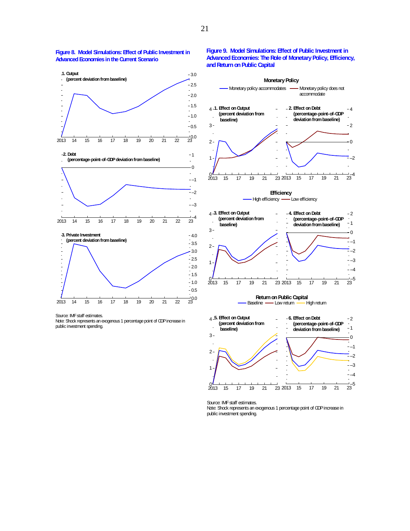

#### **Figure 8. Model Simulations: Effect of Public Investment in Advanced Economies in the Current Scenario**

#### **Figure 9. Model Simulations: Effect of Public Investment in Advanced Economies: The Role of Monetary Policy, Efficiency, and Return on Public Capital**

**Monetary Policy**



Source: IMF staff estimates. Note: Shock represents an exogenous 1 percentage point of GDP increase in public investment spending.

Note: Shock represents an exogenous 1 percentage point of GDP increase in public investment spending.

Source: IMF staff estimates.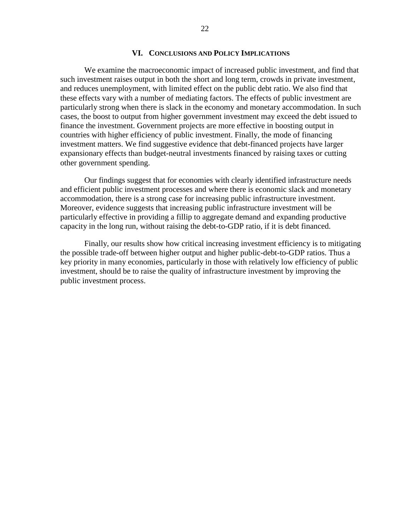# **VI. CONCLUSIONS AND POLICY IMPLICATIONS**

We examine the macroeconomic impact of increased public investment, and find that such investment raises output in both the short and long term, crowds in private investment, and reduces unemployment, with limited effect on the public debt ratio. We also find that these effects vary with a number of mediating factors. The effects of public investment are particularly strong when there is slack in the economy and monetary accommodation. In such cases, the boost to output from higher government investment may exceed the debt issued to finance the investment. Government projects are more effective in boosting output in countries with higher efficiency of public investment. Finally, the mode of financing investment matters. We find suggestive evidence that debt-financed projects have larger expansionary effects than budget-neutral investments financed by raising taxes or cutting other government spending.

Our findings suggest that for economies with clearly identified infrastructure needs and efficient public investment processes and where there is economic slack and monetary accommodation, there is a strong case for increasing public infrastructure investment. Moreover, evidence suggests that increasing public infrastructure investment will be particularly effective in providing a fillip to aggregate demand and expanding productive capacity in the long run, without raising the debt-to-GDP ratio, if it is debt financed.

Finally, our results show how critical increasing investment efficiency is to mitigating the possible trade-off between higher output and higher public-debt-to-GDP ratios. Thus a key priority in many economies, particularly in those with relatively low efficiency of public investment, should be to raise the quality of infrastructure investment by improving the public investment process.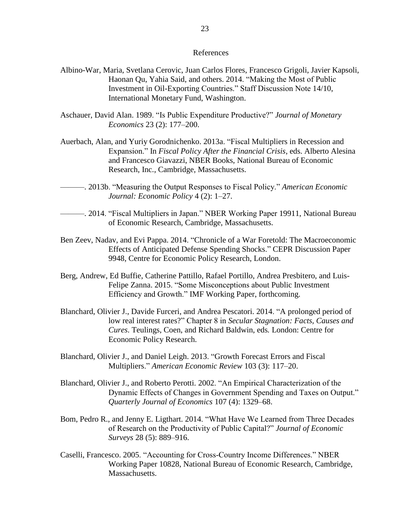# References

- Albino-War, Maria, Svetlana Cerovic, Juan Carlos Flores, Francesco Grigoli, Javier Kapsoli, Haonan Qu, Yahia Said, and others. 2014. "Making the Most of Public Investment in Oil-Exporting Countries." Staff Discussion Note 14/10, International Monetary Fund, Washington.
- Aschauer, David Alan. 1989. "Is Public Expenditure Productive?" *Journal of Monetary Economics* 23 (2): 177–200.
- Auerbach, Alan, and Yuriy Gorodnichenko. 2013a. "Fiscal Multipliers in Recession and Expansion." In *Fiscal Policy After the Financial Crisis*, eds. Alberto Alesina and Francesco Giavazzi, NBER Books, National Bureau of Economic Research, Inc., Cambridge, Massachusetts.
- ———. 2013b. "Measuring the Output Responses to Fiscal Policy." *American Economic Journal: Economic Policy* 4 (2): 1–27.
- ———. 2014. "Fiscal Multipliers in Japan." NBER Working Paper 19911, National Bureau of Economic Research, Cambridge, Massachusetts.
- Ben Zeev, Nadav, and Evi Pappa. 2014. ["Chronicle of a War Foretold: The Macroeconomic](http://ideas.repec.org/p/cpr/ceprdp/9948.html)  [Effects of Anticipated Defense Spending Shocks.](http://ideas.repec.org/p/cpr/ceprdp/9948.html)" [CEPR Discussion Paper](http://ideas.repec.org/s/cpr/ceprdp.html) 9948, Centre for Economic Policy Research, London.
- Berg, Andrew, Ed Buffie, Catherine Pattillo, Rafael Portillo, Andrea Presbitero, and Luis-Felipe Zanna. 2015. "Some Misconceptions about Public Investment Efficiency and Growth." IMF Working Paper, forthcoming.
- Blanchard, Olivier J., Davide Furceri, and Andrea Pescatori. 2014. "A prolonged period of low real interest rates?" Chapter 8 in *Secular Stagnation: Facts, Causes and Cures*. Teulings, Coen, and Richard Baldwin, eds*.* London: Centre for Economic Policy Research.
- Blanchard, Olivier J., and Daniel Leigh. 2013. ["Growth Forecast Errors and Fiscal](http://ideas.repec.org/a/aea/aecrev/v103y2013i3p117-20.html)  [Multipliers.](http://ideas.repec.org/a/aea/aecrev/v103y2013i3p117-20.html)" *[American Economic Review](http://ideas.repec.org/s/aea/aecrev.html)* 103 (3): 117–20.
- Blanchard, Olivier J., and Roberto Perotti. 2002. "An Empirical Characterization of the Dynamic Effects of Changes in Government Spending and Taxes on Output." *Quarterly Journal of Economics* 107 (4): 1329–68.
- Bom, Pedro R., and Jenny E. Ligthart. 2014. "What Have We Learned from Three Decades of Research on the Productivity of Public Capital?" *Journal of Economic Surveys* 28 (5): 889–916.
- Caselli, Francesco. 2005. "Accounting for Cross-Country Income Differences." NBER Working Paper 10828, National Bureau of Economic Research, Cambridge, Massachusetts.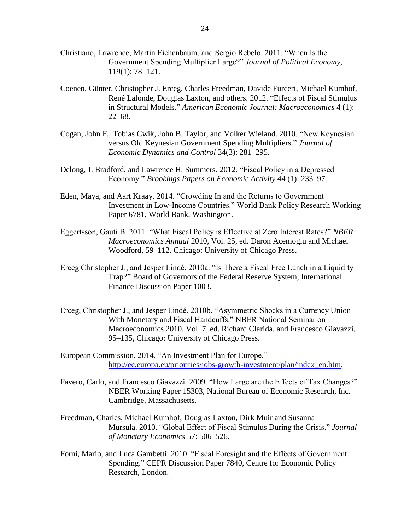- Christiano, Lawrence, Martin Eichenbaum, and Sergio Rebelo. 2011. "When Is the Government Spending Multiplier Large?" *Journal of Political Economy*, 119(1): 78–121.
- Coenen, Günter, Christopher J. Erceg, Charles Freedman, Davide Furceri, Michael Kumhof, René Lalonde, Douglas Laxton, and others. 2012. ["Effects of Fiscal Stimulus](http://ideas.repec.org/a/aea/aejmac/v4y2012i1p22-68.html)  [in Structural Models.](http://ideas.repec.org/a/aea/aejmac/v4y2012i1p22-68.html)" *[American Economic Journal: Macroeconomics](http://ideas.repec.org/s/aea/aejmac.html)* 4 (1): 22–68.
- Cogan, John F., Tobias Cwik, John B. Taylor, and Volker Wieland. 2010. "New Keynesian versus Old Keynesian Government Spending Multipliers." *[Journal of](https://ideas.repec.org/s/eee/dyncon.html)  [Economic Dynamics and Control](https://ideas.repec.org/s/eee/dyncon.html)* 34(3): 281–295.
- Delong, J. Bradford, and Lawrence H. Summers. 2012. "Fiscal Policy in a Depressed Economy." *[Brookings Papers on Economic Activity](http://ideas.repec.org/s/bin/bpeajo.html)* 44 (1): 233–97.
- Eden, Maya, and Aart Kraay. 2014. "Crowding In and the Returns to Government Investment in Low-Income Countries." World Bank Policy Research Working Paper 6781, World Bank, Washington.
- Eggertsson, Gauti B. 2011. "What Fiscal Policy is Effective at Zero Interest Rates?" *NBER Macroeconomics Annual* 2010, Vol. 25, ed. Daron Acemoglu and Michael Woodford, 59–112. Chicago: University of Chicago Press.
- Erceg Christopher J., and Jesper Lindé. 2010a. "Is There a Fiscal Free Lunch in a Liquidity Trap?" Board of Governors of the Federal Reserve System, International Finance Discussion Paper 1003.
- Erceg, Christopher J., and Jesper Lindé. 2010b. "Asymmetric Shocks in a Currency Union With Monetary and Fiscal Handcuffs." NBER National Seminar on Macroeconomics 2010. Vol. 7, ed. Richard Clarida, and Francesco Giavazzi, 95–135, Chicago: University of Chicago Press.
- European Commission. 2014. "An Investment Plan for Europe." [http://ec.europa.eu/priorities/jobs-growth-investment/plan/index\\_en.htm.](http://ec.europa.eu/priorities/jobs-growth-investment/plan/index_en.htm)
- Favero, Carlo, and Francesco Giavazzi. 2009. "How Large are the Effects of Tax Changes?" NBER Working Paper 15303, National Bureau of Economic Research, Inc. Cambridge, Massachusetts.
- Freedman, Charles, Michael Kumhof, Douglas Laxton, Dirk Muir and Susanna Mursula. 2010. "Global Effect of Fiscal Stimulus During the Crisis." *Journal of Monetary Economics* 57: 506–526.
- Forni, Mario, and Luca Gambetti. 2010. "Fiscal Foresight and the Effects of Government Spending." CEPR Discussion Paper 7840, Centre for Economic Policy Research, London.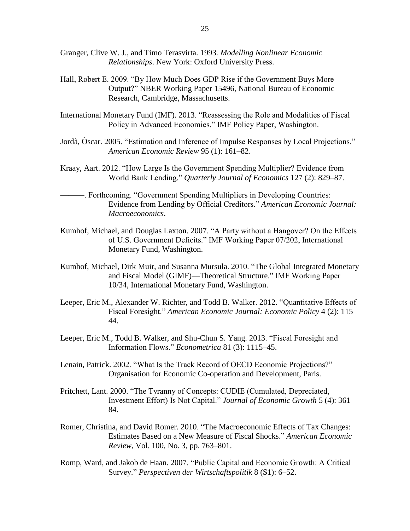- Granger, Clive W. J., and Timo Terasvirta. 1993*. Modelling Nonlinear Economic Relationships*. New York: Oxford University Press.
- Hall, Robert E. 2009. "By How Much Does GDP Rise if the Government Buys More Output?" NBER Working Paper 15496, National Bureau of Economic Research, Cambridge, Massachusetts.
- International Monetary Fund (IMF). 2013. "Reassessing the Role and Modalities of Fiscal Policy in Advanced Economies." IMF Policy Paper, Washington.
- Jordà, Òscar. 2005. "Estimation and Inference of Impulse Responses by Local Projections." *American Economic Review* 95 (1): 161–82.
- Kraay, Aart. 2012. "How Large Is the Government Spending Multiplier? Evidence from World Bank Lending." *Quarterly Journal of Economics* 127 (2): 829–87.
- ———. Forthcoming. "Government Spending Multipliers in Developing Countries: Evidence from Lending by Official Creditors." *American Economic Journal: Macroeconomics*.
- Kumhof, Michael, and Douglas Laxton. 2007. "A Party without a Hangover? On the Effects of U.S. Government Deficits." IMF Working Paper 07/202, International Monetary Fund, Washington.
- Kumhof, Michael, Dirk Muir, and Susanna Mursula. 2010. ["The Global Integrated Monetary](http://books.google.com/books?hl=en&lr=&id=h04N121l3xYC&oi=fnd&pg=PR1&dq=info:EbTX0tad8B4J:scholar.google.com&ots=M35-FNKLGi&sig=IVCmNPC9bScE4uiOfxhdDP9sW6s)  [and Fiscal Model \(GIMF\)—Theoretical Structure.](http://books.google.com/books?hl=en&lr=&id=h04N121l3xYC&oi=fnd&pg=PR1&dq=info:EbTX0tad8B4J:scholar.google.com&ots=M35-FNKLGi&sig=IVCmNPC9bScE4uiOfxhdDP9sW6s)" IMF Working Paper 10/34, International Monetary Fund, Washington.
- Leeper, Eric M., Alexander W. Richter, and Todd B. Walker. 2012. "Quantitative Effects of Fiscal Foresight." *American Economic Journal: Economic Policy* 4 (2): 115– 44.
- Leeper, Eric M., Todd B. Walker, and Shu-Chun S. Yang. 2013. "Fiscal Foresight and Information Flows." *Econometrica* 81 (3): 1115–45.
- Lenain, Patrick. 2002. "What Is the Track Record of OECD Economic Projections?" Organisation for Economic Co-operation and Development, Paris.
- Pritchett, Lant. 2000. "The Tyranny of Concepts: CUDIE (Cumulated, Depreciated, Investment Effort) Is Not Capital." *Journal of Economic Growth* 5 (4): 361– 84.
- Romer, Christina, and David Romer. 2010. "The Macroeconomic Effects of Tax Changes: Estimates Based on a New Measure of Fiscal Shocks." *American Economic Review*, Vol. 100, No. 3, pp. 763–801.
- Romp, Ward, and Jakob de Haan. 2007. "Public Capital and Economic Growth: A Critical Survey." *Perspectiven der Wirtschaftspolitik* 8 (S1): 6–52.